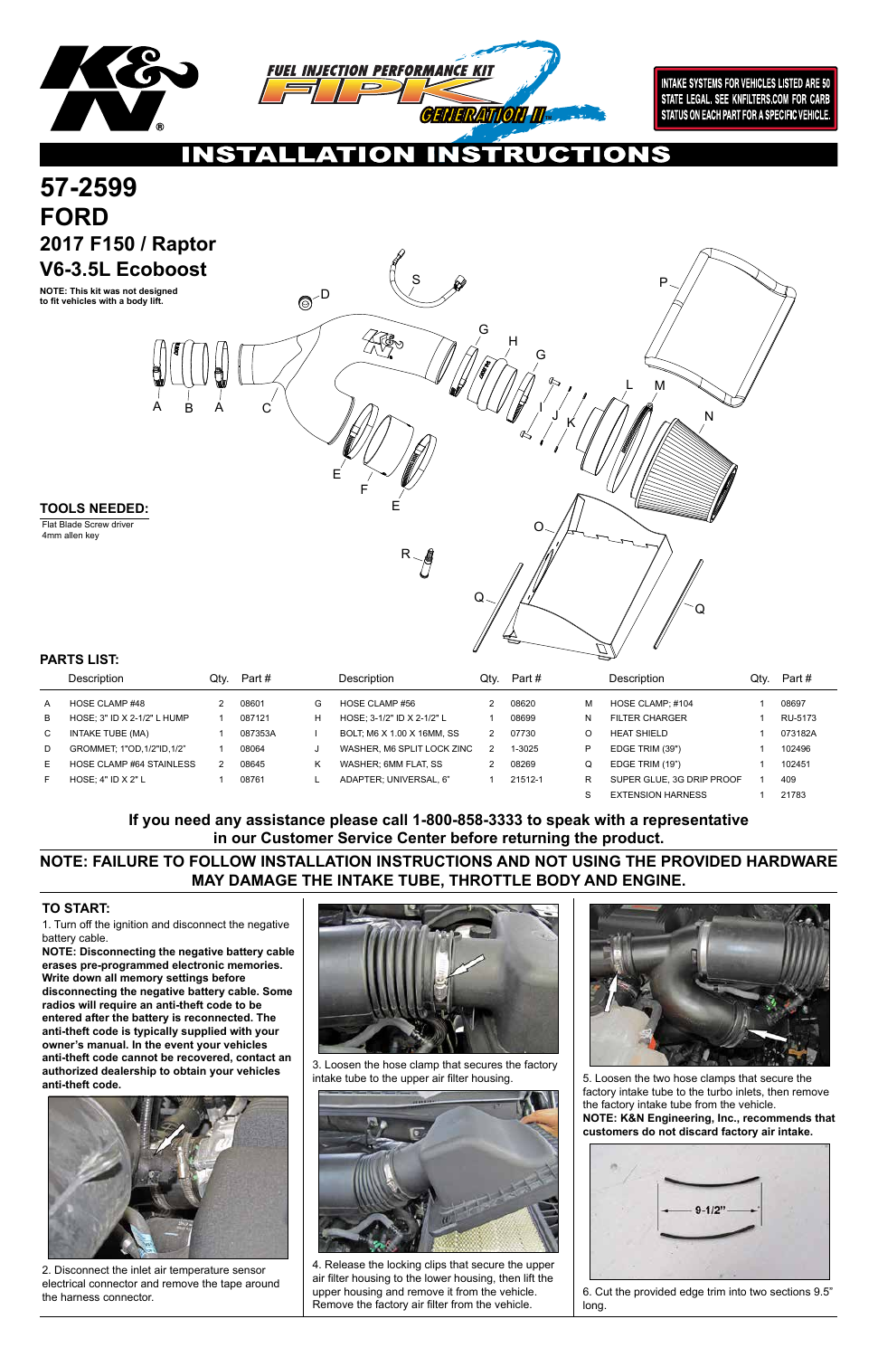1. Turn off the ignition and disconnect the negative battery cable.

**NOTE: Disconnecting the negative battery cable erases pre-programmed electronic memories. Write down all memory settings before disconnecting the negative battery cable. Some radios will require an anti-theft code to be entered after the battery is reconnected. The anti-theft code is typically supplied with your owner's manual. In the event your vehicles anti-theft code cannot be recovered, contact an authorized dealership to obtain your vehicles anti-theft code.**







## **TO START:**

# **NOTE: FAILURE TO FOLLOW INSTALLATION INSTRUCTIONS AND NOT USING THE PROVIDED HARDWARE MAY DAMAGE THE INTAKE TUBE, THROTTLE BODY AND ENGINE.**

# **If you need any assistance please call 1-800-858-3333 to speak with a representative in our Customer Service Center before returning the product.**

|   | Description                 | Qtv. | Part #  |   | Description                | Qty. | Part #  |   | Description               | Qty. | Part#   |
|---|-----------------------------|------|---------|---|----------------------------|------|---------|---|---------------------------|------|---------|
| A | HOSE CLAMP #48              |      | 08601   | G | HOSE CLAMP #56             |      | 08620   | M | HOSE CLAMP; #104          |      | 08697   |
| В | HOSE: 3" ID X 2-1/2" L HUMP |      | 087121  | H | HOSE: 3-1/2" ID X 2-1/2" L |      | 08699   | N | <b>FILTER CHARGER</b>     |      | RU-5173 |
| C | INTAKE TUBE (MA)            |      | 087353A |   | BOLT, M6 X 1.00 X 16MM, SS |      | 07730   | O | <b>HEAT SHIELD</b>        |      | 073182A |
| D | GROMMET: 1"OD.1/2"ID.1/2"   |      | 08064   | u | WASHER, M6 SPLIT LOCK ZINC |      | 1-3025  | P | EDGE TRIM (39")           |      | 102496  |
| Е | HOSE CLAMP #64 STAINLESS    |      | 08645   | Κ | WASHER: 6MM FLAT. SS       |      | 08269   | Q | EDGE TRIM (19")           |      | 102451  |
| ᆮ | HOSE: $4"$ ID $X$ $2"$ L    |      | 08761   |   | ADAPTER: UNIVERSAL. 6"     |      | 21512-1 | R | SUPER GLUE, 3G DRIP PROOF |      | 409     |
|   |                             |      |         |   |                            |      |         | S | <b>EXTENSION HARNESS</b>  |      | 21783   |



2. Disconnect the inlet air temperature sensor electrical connector and remove the tape around the harness connector.

3. Loosen the hose clamp that secures the factory intake tube to the upper air filter housing.



4. Release the locking clips that secure the upper air filter housing to the lower housing, then lift the upper housing and remove it from the vehicle. Remove the factory air filter from the vehicle.

5. Loosen the two hose clamps that secure the factory intake tube to the turbo inlets, then remove the factory intake tube from the vehicle. **NOTE: K&N Engineering, Inc., recommends that customers do not discard factory air intake.**



6. Cut the provided edge trim into two sections 9.5" long.